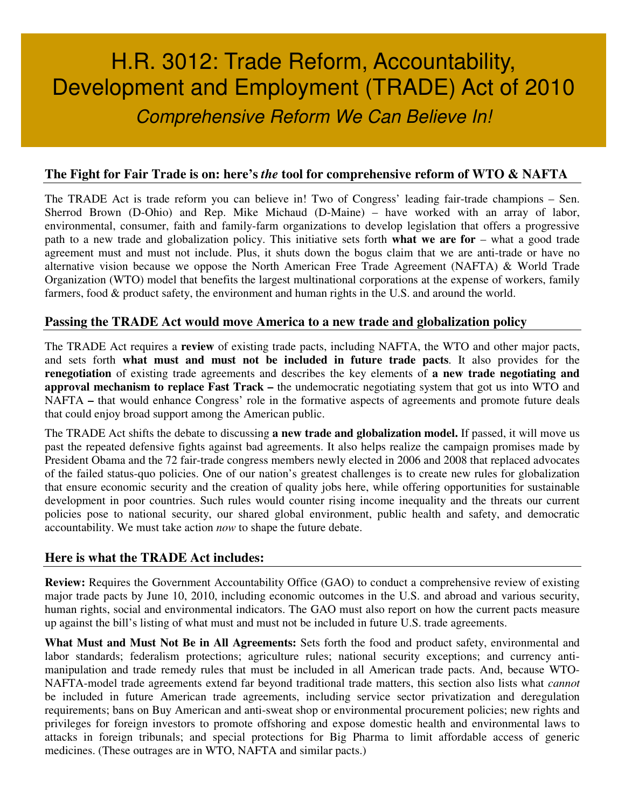# H.R. 3012: Trade Reform, Accountability, Development and Employment (TRADE) Act of 2010 Comprehensive Reform We Can Believe In!

#### **The Fight for Fair Trade is on: here's** *the* **tool for comprehensive reform of WTO & NAFTA**

The TRADE Act is trade reform you can believe in! Two of Congress' leading fair-trade champions – Sen. Sherrod Brown (D-Ohio) and Rep. Mike Michaud (D-Maine) – have worked with an array of labor, environmental, consumer, faith and family-farm organizations to develop legislation that offers a progressive path to a new trade and globalization policy. This initiative sets forth **what we are for** – what a good trade agreement must and must not include. Plus, it shuts down the bogus claim that we are anti-trade or have no alternative vision because we oppose the North American Free Trade Agreement (NAFTA) & World Trade Organization (WTO) model that benefits the largest multinational corporations at the expense of workers, family farmers, food & product safety, the environment and human rights in the U.S. and around the world.

#### **Passing the TRADE Act would move America to a new trade and globalization policy**

The TRADE Act requires a **review** of existing trade pacts, including NAFTA, the WTO and other major pacts, and sets forth **what must and must not be included in future trade pacts**. It also provides for the **renegotiation** of existing trade agreements and describes the key elements of **a new trade negotiating and approval mechanism to replace Fast Track –** the undemocratic negotiating system that got us into WTO and NAFTA **–** that would enhance Congress' role in the formative aspects of agreements and promote future deals that could enjoy broad support among the American public.

The TRADE Act shifts the debate to discussing **a new trade and globalization model.** If passed, it will move us past the repeated defensive fights against bad agreements. It also helps realize the campaign promises made by President Obama and the 72 fair-trade congress members newly elected in 2006 and 2008 that replaced advocates of the failed status-quo policies. One of our nation's greatest challenges is to create new rules for globalization that ensure economic security and the creation of quality jobs here, while offering opportunities for sustainable development in poor countries. Such rules would counter rising income inequality and the threats our current policies pose to national security, our shared global environment, public health and safety, and democratic accountability. We must take action *now* to shape the future debate.

#### **Here is what the TRADE Act includes:**

**Review:** Requires the Government Accountability Office (GAO) to conduct a comprehensive review of existing major trade pacts by June 10, 2010, including economic outcomes in the U.S. and abroad and various security, human rights, social and environmental indicators. The GAO must also report on how the current pacts measure up against the bill's listing of what must and must not be included in future U.S. trade agreements.

**What Must and Must Not Be in All Agreements:** Sets forth the food and product safety, environmental and labor standards; federalism protections; agriculture rules; national security exceptions; and currency antimanipulation and trade remedy rules that must be included in all American trade pacts. And, because WTO-NAFTA-model trade agreements extend far beyond traditional trade matters, this section also lists what *cannot* be included in future American trade agreements, including service sector privatization and deregulation requirements; bans on Buy American and anti-sweat shop or environmental procurement policies; new rights and privileges for foreign investors to promote offshoring and expose domestic health and environmental laws to attacks in foreign tribunals; and special protections for Big Pharma to limit affordable access of generic medicines. (These outrages are in WTO, NAFTA and similar pacts.)